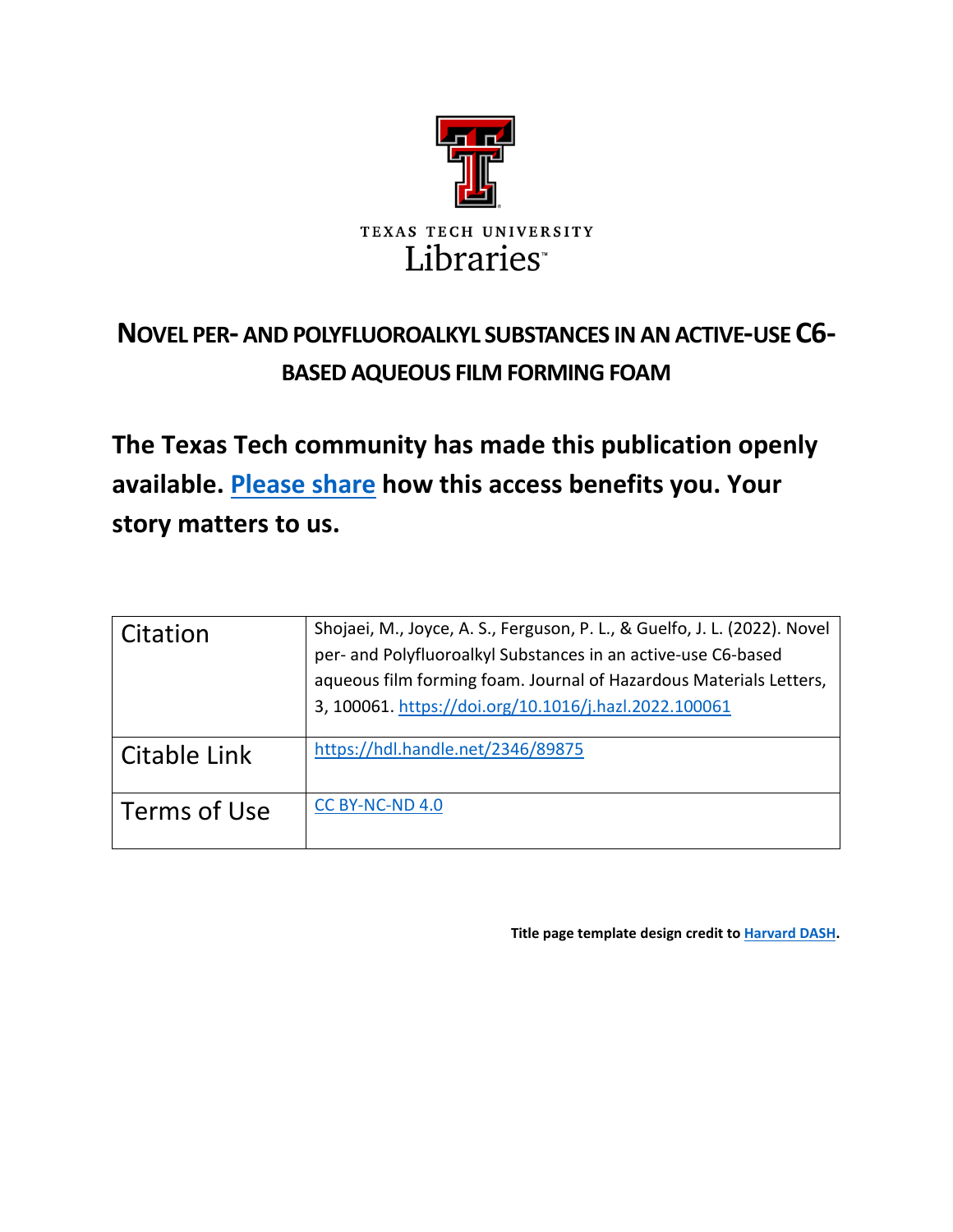

# **NOVEL PER- AND POLYFLUOROALKYL SUBSTANCES IN AN ACTIVE-USE C6- BASED AQUEOUS FILM FORMING FOAM**

**The Texas Tech community has made this publication openly available. [Please share](https://ttu.libwizard.com/f/thinktechfeedback) how this access benefits you. Your story matters to us.**

| Citation     | Shojaei, M., Joyce, A. S., Ferguson, P. L., & Guelfo, J. L. (2022). Novel<br>per- and Polyfluoroalkyl Substances in an active-use C6-based<br>aqueous film forming foam. Journal of Hazardous Materials Letters,<br>3, 100061. https://doi.org/10.1016/j.hazl.2022.100061 |
|--------------|---------------------------------------------------------------------------------------------------------------------------------------------------------------------------------------------------------------------------------------------------------------------------|
| Citable Link | https://hdl.handle.net/2346/89875                                                                                                                                                                                                                                         |
| Terms of Use | CC BY-NC-ND 4.0                                                                                                                                                                                                                                                           |

**Title page template design credit t[o Harvard DASH.](https://dash.harvard.edu/)**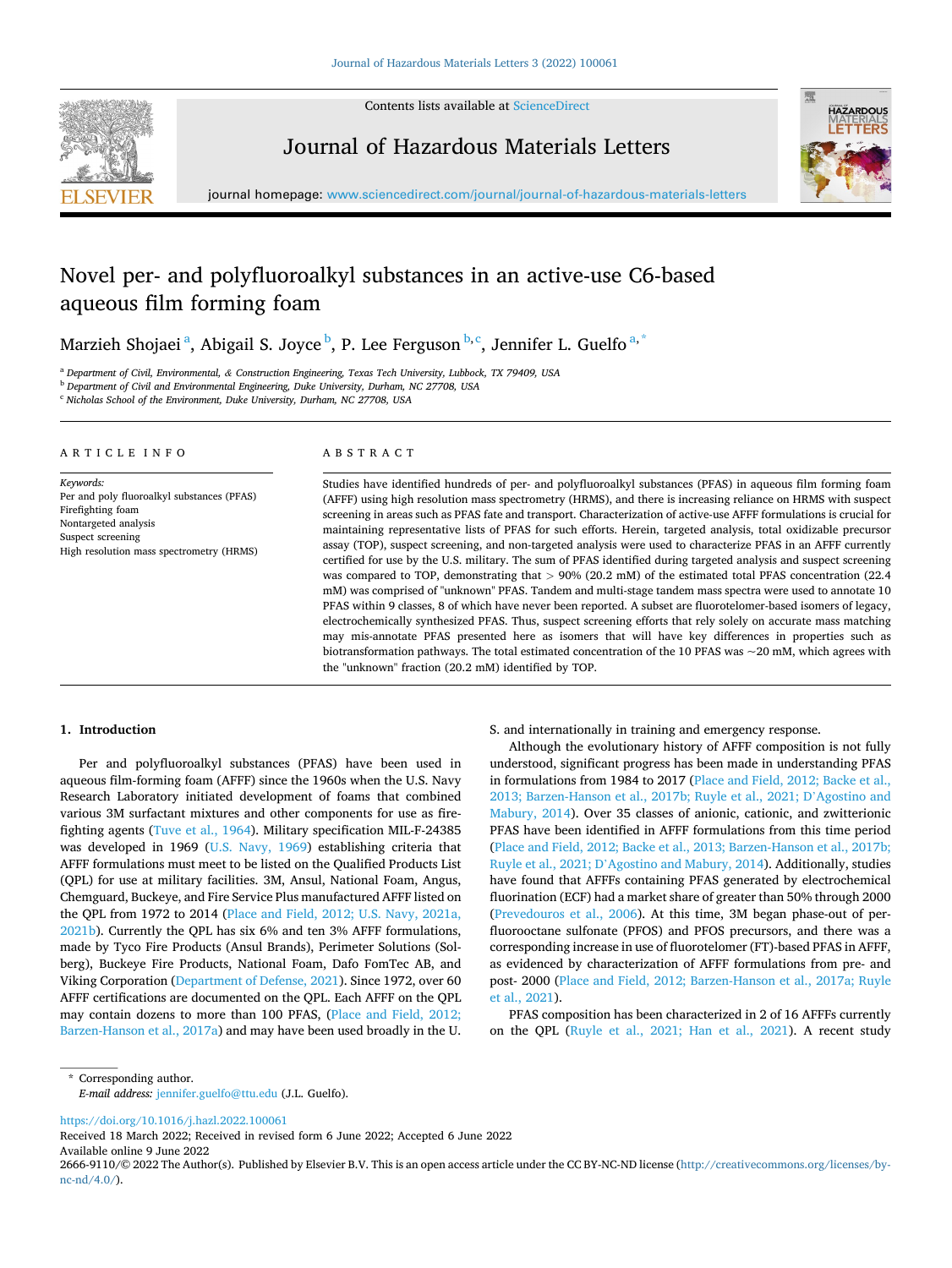

Contents lists available at [ScienceDirect](www.sciencedirect.com/science/journal/26669110)

Journal of Hazardous Materials Letters



journal homepage: [www.sciencedirect.com/journal/journal-of-hazardous-materials-letters](https://www.sciencedirect.com/journal/journal-of-hazardous-materials-letters)

# Novel per- and polyfluoroalkyl substances in an active-use C6-based aqueous film forming foam

Marzieh Shojaei<sup>a</sup>, Abigail S. Joyce <sup>b</sup>, P. Lee Ferguson <sup>b,c</sup>, Jennifer L. Guelfo<sup>a,\*</sup>

<sup>a</sup> *Department of Civil, Environmental, & Construction Engineering, Texas Tech University, Lubbock, TX 79409, USA* 

<sup>b</sup> *Department of Civil and Environmental Engineering, Duke University, Durham, NC 27708, USA* 

<sup>c</sup> *Nicholas School of the Environment, Duke University, Durham, NC 27708, USA* 

#### ARTICLE INFO

#### ABSTRACT

*Keywords:*  Per and poly fluoroalkyl substances (PFAS) Firefighting foam Nontargeted analysis Suspect screening High resolution mass spectrometry (HRMS) Studies have identified hundreds of per- and polyfluoroalkyl substances (PFAS) in aqueous film forming foam (AFFF) using high resolution mass spectrometry (HRMS), and there is increasing reliance on HRMS with suspect screening in areas such as PFAS fate and transport. Characterization of active-use AFFF formulations is crucial for maintaining representative lists of PFAS for such efforts. Herein, targeted analysis, total oxidizable precursor assay (TOP), suspect screening, and non-targeted analysis were used to characterize PFAS in an AFFF currently certified for use by the U.S. military. The sum of PFAS identified during targeted analysis and suspect screening was compared to TOP, demonstrating that *>* 90% (20.2 mM) of the estimated total PFAS concentration (22.4 mM) was comprised of "unknown" PFAS. Tandem and multi-stage tandem mass spectra were used to annotate 10 PFAS within 9 classes, 8 of which have never been reported. A subset are fluorotelomer-based isomers of legacy, electrochemically synthesized PFAS. Thus, suspect screening efforts that rely solely on accurate mass matching may mis-annotate PFAS presented here as isomers that will have key differences in properties such as biotransformation pathways. The total estimated concentration of the 10 PFAS was ~20 mM, which agrees with the "unknown" fraction (20.2 mM) identified by TOP.

#### **1. Introduction**

Per and polyfluoroalkyl substances (PFAS) have been used in aqueous film-forming foam (AFFF) since the 1960s when the U.S. Navy Research Laboratory initiated development of foams that combined various 3M surfactant mixtures and other components for use as firefighting agents [\(Tuve et al., 1964](#page-6-0)). Military specification MIL-F-24385 was developed in 1969 [\(U.S. Navy, 1969](#page-6-0)) establishing criteria that AFFF formulations must meet to be listed on the Qualified Products List (QPL) for use at military facilities. 3M, Ansul, National Foam, Angus, Chemguard, Buckeye, and Fire Service Plus manufactured AFFF listed on the QPL from 1972 to 2014 [\(Place and Field, 2012; U.S. Navy, 2021a,](#page-5-0)  [2021b\)](#page-5-0). Currently the QPL has six 6% and ten 3% AFFF formulations, made by Tyco Fire Products (Ansul Brands), Perimeter Solutions (Solberg), Buckeye Fire Products, National Foam, Dafo FomTec AB, and Viking Corporation ([Department of Defense, 2021](#page-5-0)). Since 1972, over 60 AFFF certifications are documented on the QPL. Each AFFF on the QPL may contain dozens to more than 100 PFAS, [\(Place and Field, 2012;](#page-5-0)  [Barzen-Hanson et al., 2017a](#page-5-0)) and may have been used broadly in the U.

S. and internationally in training and emergency response.

Although the evolutionary history of AFFF composition is not fully understood, significant progress has been made in understanding PFAS in formulations from 1984 to 2017 [\(Place and Field, 2012; Backe et al.,](#page-5-0)  [2013; Barzen-Hanson et al., 2017b; Ruyle et al., 2021; D](#page-5-0)'Agostino and [Mabury, 2014](#page-5-0)). Over 35 classes of anionic, cationic, and zwitterionic PFAS have been identified in AFFF formulations from this time period ([Place and Field, 2012; Backe et al., 2013; Barzen-Hanson et al., 2017b;](#page-5-0)  Ruyle et al., 2021; D'[Agostino and Mabury, 2014](#page-5-0)). Additionally, studies have found that AFFFs containing PFAS generated by electrochemical fluorination (ECF) had a market share of greater than 50% through 2000 ([Prevedouros et al., 2006\)](#page-5-0). At this time, 3M began phase-out of perfluorooctane sulfonate (PFOS) and PFOS precursors, and there was a corresponding increase in use of fluorotelomer (FT)-based PFAS in AFFF, as evidenced by characterization of AFFF formulations from pre- and post- 2000 [\(Place and Field, 2012; Barzen-Hanson et al., 2017a; Ruyle](#page-5-0)  [et al., 2021\)](#page-5-0).

PFAS composition has been characterized in 2 of 16 AFFFs currently on the QPL ([Ruyle et al., 2021; Han et al., 2021\)](#page-5-0). A recent study

\* Corresponding author.

*E-mail address:* [jennifer.guelfo@ttu.edu](mailto:jennifer.guelfo@ttu.edu) (J.L. Guelfo).

<https://doi.org/10.1016/j.hazl.2022.100061>

Available online 9 June 2022 Received 18 March 2022; Received in revised form 6 June 2022; Accepted 6 June 2022

2666-9110/© 2022 The Author(s). Published by Elsevier B.V. This is an open access article under the CC BY-NC-ND license([http://creativecommons.org/licenses/by](http://creativecommons.org/licenses/by-nc-nd/4.0/) $nc\text{-}nd/4.0/$ ).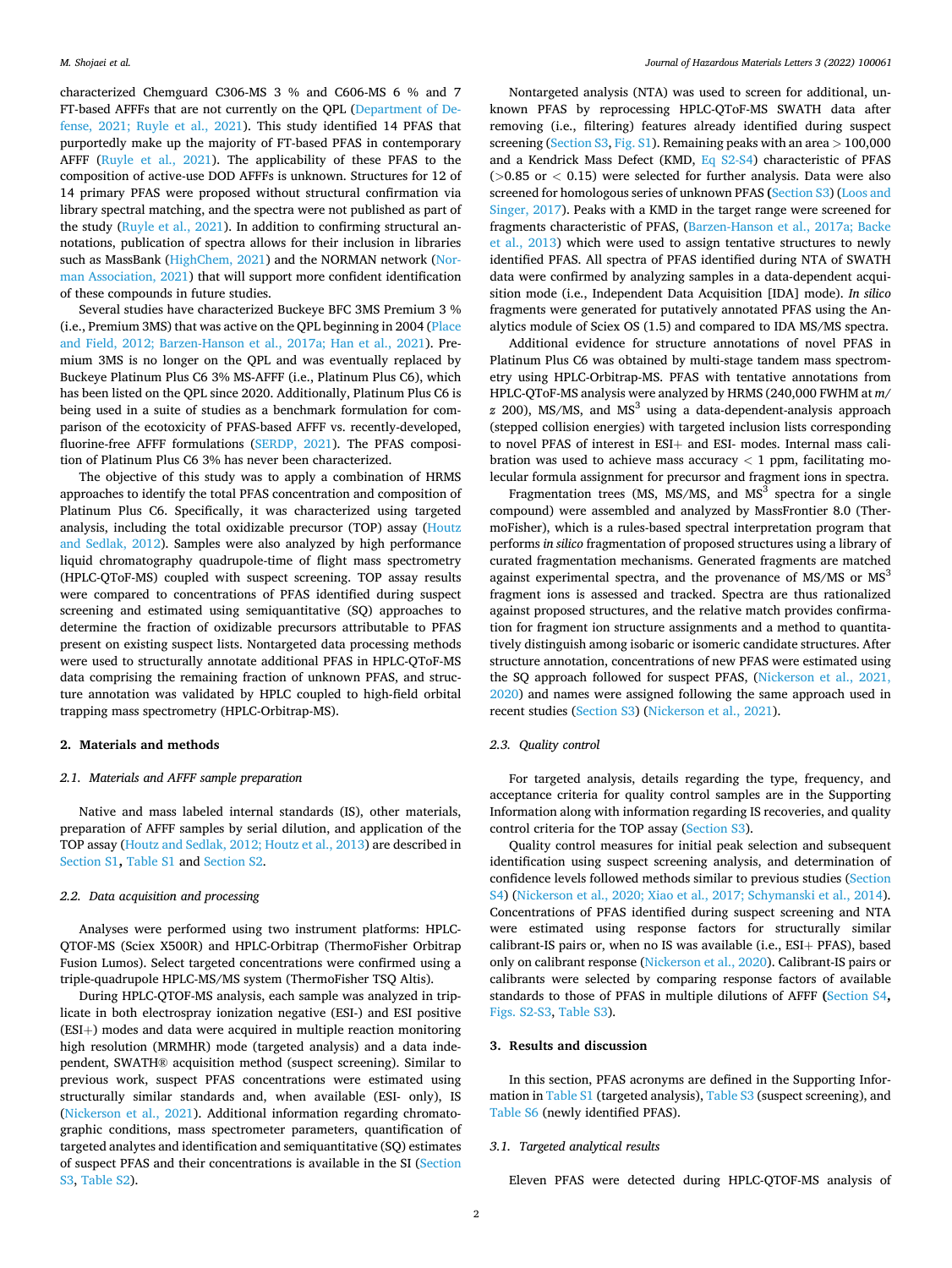characterized Chemguard C306-MS 3 % and C606-MS 6 % and 7 FT-based AFFFs that are not currently on the QPL [\(Department of De](#page-5-0)[fense, 2021; Ruyle et al., 2021](#page-5-0)). This study identified 14 PFAS that purportedly make up the majority of FT-based PFAS in contemporary AFFF [\(Ruyle et al., 2021\)](#page-5-0). The applicability of these PFAS to the composition of active-use DOD AFFFs is unknown. Structures for 12 of 14 primary PFAS were proposed without structural confirmation via library spectral matching, and the spectra were not published as part of the study [\(Ruyle et al., 2021](#page-5-0)). In addition to confirming structural annotations, publication of spectra allows for their inclusion in libraries such as MassBank [\(HighChem, 2021](#page-5-0)) and the NORMAN network ([Nor](#page-5-0)[man Association, 2021](#page-5-0)) that will support more confident identification of these compounds in future studies.

Several studies have characterized Buckeye BFC 3MS Premium 3 % (i.e., Premium 3MS) that was active on the QPL beginning in 2004 [\(Place](#page-5-0)  [and Field, 2012; Barzen-Hanson et al., 2017a; Han et al., 2021](#page-5-0)). Premium 3MS is no longer on the QPL and was eventually replaced by Buckeye Platinum Plus C6 3% MS-AFFF (i.e., Platinum Plus C6), which has been listed on the QPL since 2020. Additionally, Platinum Plus C6 is being used in a suite of studies as a benchmark formulation for comparison of the ecotoxicity of PFAS-based AFFF vs. recently-developed, fluorine-free AFFF formulations ([SERDP, 2021\)](#page-6-0). The PFAS composition of Platinum Plus C6 3% has never been characterized.

The objective of this study was to apply a combination of HRMS approaches to identify the total PFAS concentration and composition of Platinum Plus C6. Specifically, it was characterized using targeted analysis, including the total oxidizable precursor (TOP) assay [\(Houtz](#page-5-0)  [and Sedlak, 2012\)](#page-5-0). Samples were also analyzed by high performance liquid chromatography quadrupole-time of flight mass spectrometry (HPLC-QToF-MS) coupled with suspect screening. TOP assay results were compared to concentrations of PFAS identified during suspect screening and estimated using semiquantitative (SQ) approaches to determine the fraction of oxidizable precursors attributable to PFAS present on existing suspect lists. Nontargeted data processing methods were used to structurally annotate additional PFAS in HPLC-QToF-MS data comprising the remaining fraction of unknown PFAS, and structure annotation was validated by HPLC coupled to high-field orbital trapping mass spectrometry (HPLC-Orbitrap-MS).

#### **2. Materials and methods**

# *2.1. Materials and AFFF sample preparation*

Native and mass labeled internal standards (IS), other materials, preparation of AFFF samples by serial dilution, and application of the TOP assay [\(Houtz and Sedlak, 2012; Houtz et al., 2013](#page-5-0)) are described in Section S1**,** Table S1 and Section S2.

# *2.2. Data acquisition and processing*

Analyses were performed using two instrument platforms: HPLC-QTOF-MS (Sciex X500R) and HPLC-Orbitrap (ThermoFisher Orbitrap Fusion Lumos). Select targeted concentrations were confirmed using a triple-quadrupole HPLC-MS/MS system (ThermoFisher TSQ Altis).

During HPLC-QTOF-MS analysis, each sample was analyzed in triplicate in both electrospray ionization negative (ESI-) and ESI positive (ESI+) modes and data were acquired in multiple reaction monitoring high resolution (MRMHR) mode (targeted analysis) and a data independent, SWATH® acquisition method (suspect screening). Similar to previous work, suspect PFAS concentrations were estimated using structurally similar standards and, when available (ESI- only), IS ([Nickerson et al., 2021](#page-5-0)). Additional information regarding chromatographic conditions, mass spectrometer parameters, quantification of targeted analytes and identification and semiquantitative (SQ) estimates of suspect PFAS and their concentrations is available in the SI (Section S3, Table S2).

Nontargeted analysis (NTA) was used to screen for additional, unknown PFAS by reprocessing HPLC-QToF-MS SWATH data after removing (i.e., filtering) features already identified during suspect screening (Section S3, Fig. S1). Remaining peaks with an area *>* 100,000 and a Kendrick Mass Defect (KMD, Eq S2-S4) characteristic of PFAS (*>*0.85 or *<* 0.15) were selected for further analysis. Data were also screened for homologous series of unknown PFAS **(**Section S3) ([Loos and](#page-5-0)  [Singer, 2017](#page-5-0)). Peaks with a KMD in the target range were screened for fragments characteristic of PFAS, ([Barzen-Hanson et al., 2017a; Backe](#page-5-0)  [et al., 2013](#page-5-0)) which were used to assign tentative structures to newly identified PFAS. All spectra of PFAS identified during NTA of SWATH data were confirmed by analyzing samples in a data-dependent acquisition mode (i.e., Independent Data Acquisition [IDA] mode). *In silico*  fragments were generated for putatively annotated PFAS using the Analytics module of Sciex OS (1.5) and compared to IDA MS/MS spectra.

Additional evidence for structure annotations of novel PFAS in Platinum Plus C6 was obtained by multi-stage tandem mass spectrometry using HPLC-Orbitrap-MS. PFAS with tentative annotations from HPLC-QToF-MS analysis were analyzed by HRMS (240,000 FWHM at *m/*   $\alpha$  200), MS/MS, and MS<sup>3</sup> using a data-dependent-analysis approach (stepped collision energies) with targeted inclusion lists corresponding to novel PFAS of interest in ESI+ and ESI- modes. Internal mass calibration was used to achieve mass accuracy  $<$  1 ppm, facilitating molecular formula assignment for precursor and fragment ions in spectra.

Fragmentation trees (MS, MS/MS, and MS<sup>3</sup> spectra for a single compound) were assembled and analyzed by MassFrontier 8.0 (ThermoFisher), which is a rules-based spectral interpretation program that performs *in silico* fragmentation of proposed structures using a library of curated fragmentation mechanisms. Generated fragments are matched against experimental spectra, and the provenance of  $MS/MS$  or  $MS<sup>3</sup>$ fragment ions is assessed and tracked. Spectra are thus rationalized against proposed structures, and the relative match provides confirmation for fragment ion structure assignments and a method to quantitatively distinguish among isobaric or isomeric candidate structures. After structure annotation, concentrations of new PFAS were estimated using the SQ approach followed for suspect PFAS, ([Nickerson et al., 2021,](#page-5-0)  [2020\)](#page-5-0) and names were assigned following the same approach used in recent studies (Section S3) ([Nickerson et al., 2021\)](#page-5-0).

### *2.3. Quality control*

For targeted analysis, details regarding the type, frequency, and acceptance criteria for quality control samples are in the Supporting Information along with information regarding IS recoveries, and quality control criteria for the TOP assay (Section S3).

Quality control measures for initial peak selection and subsequent identification using suspect screening analysis, and determination of confidence levels followed methods similar to previous studies (Section S4) ([Nickerson et al., 2020; Xiao et al., 2017; Schymanski et al., 2014](#page-5-0)). Concentrations of PFAS identified during suspect screening and NTA were estimated using response factors for structurally similar calibrant-IS pairs or, when no IS was available (i.e., ESI+ PFAS), based only on calibrant response ([Nickerson et al., 2020\)](#page-5-0). Calibrant-IS pairs or calibrants were selected by comparing response factors of available standards to those of PFAS in multiple dilutions of AFFF **(**Section S4**,**  Figs. S2-S3, Table S3).

# **3. Results and discussion**

In this section, PFAS acronyms are defined in the Supporting Information in Table S1 (targeted analysis), Table S3 (suspect screening), and Table S6 (newly identified PFAS).

# *3.1. Targeted analytical results*

Eleven PFAS were detected during HPLC-QTOF-MS analysis of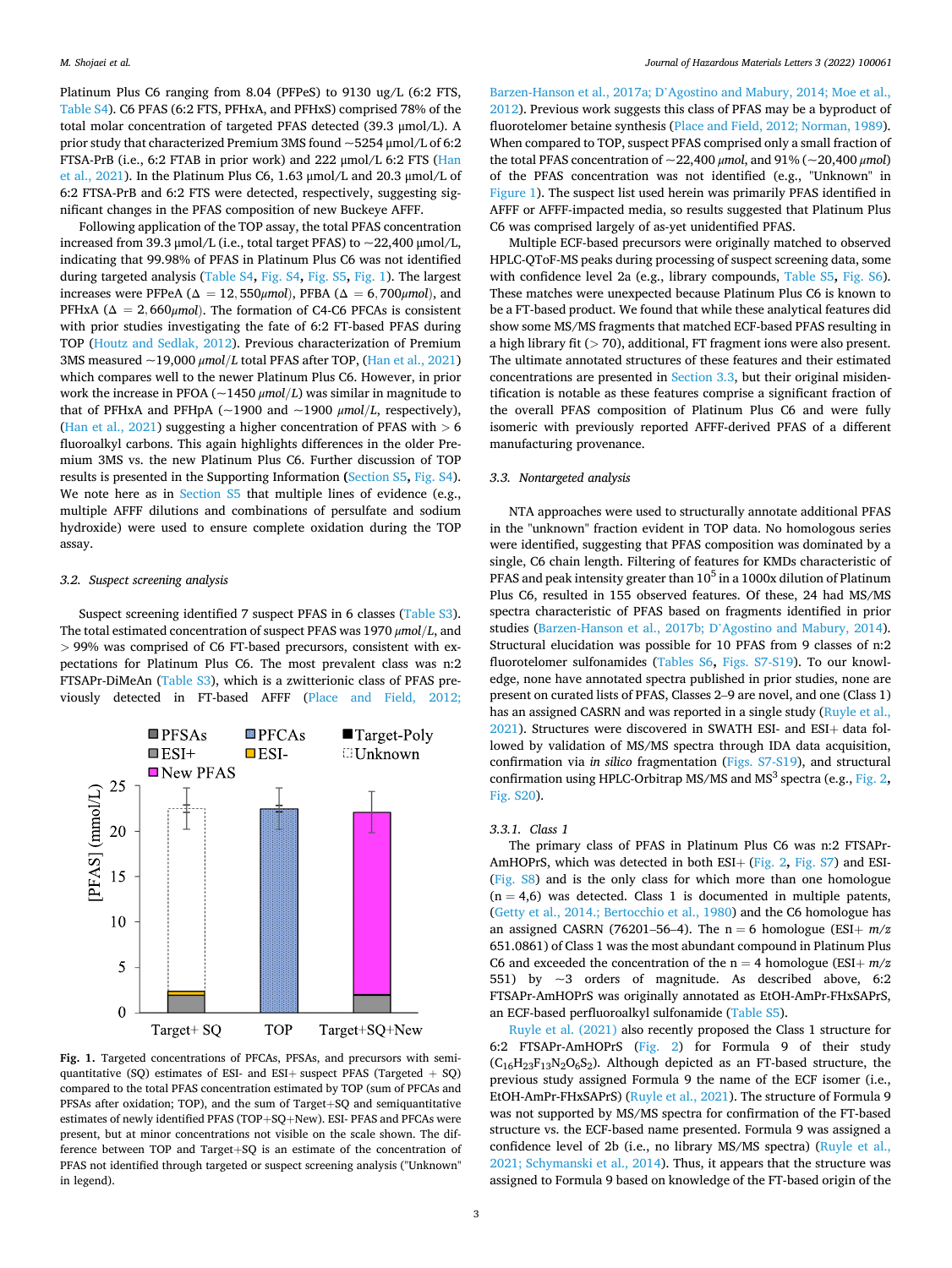<span id="page-3-0"></span>Platinum Plus C6 ranging from 8.04 (PFPeS) to 9130 ug/L (6:2 FTS, Table S4). C6 PFAS (6:2 FTS, PFHxA, and PFHxS) comprised 78% of the total molar concentration of targeted PFAS detected (39.3 μmol/L). A prior study that characterized Premium 3MS found ~5254 μmol/L of 6:2 FTSA-PrB (i.e., 6:2 FTAB in prior work) and 222 μmol/L 6:2 FTS [\(Han](#page-5-0)  [et al., 2021\)](#page-5-0). In the Platinum Plus C6, 1.63 μmol/L and 20.3 μmol/L of 6:2 FTSA-PrB and 6:2 FTS were detected, respectively, suggesting significant changes in the PFAS composition of new Buckeye AFFF.

Following application of the TOP assay, the total PFAS concentration increased from 39.3  $\mu$ mol/L (i.e., total target PFAS) to  $\sim$ 22,400  $\mu$ mol/L, indicating that 99.98% of PFAS in Platinum Plus C6 was not identified during targeted analysis (Table S4**,** Fig. S4**,** Fig. S5**,** Fig. 1). The largest increases were PFPeA ( $\Delta = 12,550 \mu$ mol), PFBA ( $\Delta = 6,700 \mu$ mol), and PFHxA ( $\Delta = 2,660 \mu$ mol). The formation of C4-C6 PFCAs is consistent with prior studies investigating the fate of 6:2 FT-based PFAS during TOP ([Houtz and Sedlak, 2012](#page-5-0)). Previous characterization of Premium 3MS measured ~19,000 *μmol/L* total PFAS after TOP, ([Han et al., 2021\)](#page-5-0) which compares well to the newer Platinum Plus C6. However, in prior work the increase in PFOA ( $\sim$ 1450  $\mu$ mol/*L*) was similar in magnitude to that of PFHxA and PFHpA ( $\sim$ 1900 and  $\sim$ 1900  $\mu$ mol/*L*, respectively), ([Han et al., 2021](#page-5-0)) suggesting a higher concentration of PFAS with *>* 6 fluoroalkyl carbons. This again highlights differences in the older Premium 3MS vs. the new Platinum Plus C6. Further discussion of TOP results is presented in the Supporting Information **(**Section S5**,** Fig. S4). We note here as in Section S5 that multiple lines of evidence (e.g., multiple AFFF dilutions and combinations of persulfate and sodium hydroxide) were used to ensure complete oxidation during the TOP assay.

# *3.2. Suspect screening analysis*

Suspect screening identified 7 suspect PFAS in 6 classes (Table S3). The total estimated concentration of suspect PFAS was 1970 *μmol/L*, and *>* 99% was comprised of C6 FT-based precursors, consistent with expectations for Platinum Plus C6. The most prevalent class was n:2 FTSAPr-DiMeAn (Table S3), which is a zwitterionic class of PFAS previously detected in FT-based AFFF ([Place and Field, 2012;](#page-5-0) 



**Fig. 1.** Targeted concentrations of PFCAs, PFSAs, and precursors with semiquantitative (SQ) estimates of ESI- and ESI+ suspect PFAS (Targeted  $+$  SQ) compared to the total PFAS concentration estimated by TOP (sum of PFCAs and PFSAs after oxidation; TOP), and the sum of Target+SQ and semiquantitative estimates of newly identified PFAS (TOP+SQ+New). ESI- PFAS and PFCAs were present, but at minor concentrations not visible on the scale shown. The difference between TOP and Target+SQ is an estimate of the concentration of PFAS not identified through targeted or suspect screening analysis ("Unknown" in legend).

Barzen-Hanson et al., 2017a; D'[Agostino and Mabury, 2014; Moe et al.,](#page-5-0)  [2012\)](#page-5-0). Previous work suggests this class of PFAS may be a byproduct of fluorotelomer betaine synthesis ([Place and Field, 2012; Norman, 1989](#page-5-0)). When compared to TOP, suspect PFAS comprised only a small fraction of the total PFAS concentration of ~22,400 *μmol*, and 91% (~20,400 *μmol*) of the PFAS concentration was not identified (e.g., "Unknown" in Figure 1). The suspect list used herein was primarily PFAS identified in AFFF or AFFF-impacted media, so results suggested that Platinum Plus C6 was comprised largely of as-yet unidentified PFAS.

Multiple ECF-based precursors were originally matched to observed HPLC-QToF-MS peaks during processing of suspect screening data, some with confidence level 2a (e.g., library compounds, Table S5**,** Fig. S6). These matches were unexpected because Platinum Plus C6 is known to be a FT-based product. We found that while these analytical features did show some MS/MS fragments that matched ECF-based PFAS resulting in a high library fit (*>* 70), additional, FT fragment ions were also present. The ultimate annotated structures of these features and their estimated concentrations are presented in Section 3.3, but their original misidentification is notable as these features comprise a significant fraction of the overall PFAS composition of Platinum Plus C6 and were fully isomeric with previously reported AFFF-derived PFAS of a different manufacturing provenance.

#### *3.3. Nontargeted analysis*

NTA approaches were used to structurally annotate additional PFAS in the "unknown" fraction evident in TOP data. No homologous series were identified, suggesting that PFAS composition was dominated by a single, C6 chain length. Filtering of features for KMDs characteristic of PFAS and peak intensity greater than  $10^5$  in a 1000x dilution of Platinum Plus C6, resulted in 155 observed features. Of these, 24 had MS/MS spectra characteristic of PFAS based on fragments identified in prior studies ([Barzen-Hanson et al., 2017b; D](#page-5-0)'Agostino and Mabury, 2014). Structural elucidation was possible for 10 PFAS from 9 classes of n:2 fluorotelomer sulfonamides (Tables S6**,** Figs. S7-S19). To our knowledge, none have annotated spectra published in prior studies, none are present on curated lists of PFAS, Classes 2–9 are novel, and one (Class 1) has an assigned CASRN and was reported in a single study ([Ruyle et al.,](#page-5-0)  [2021\)](#page-5-0). Structures were discovered in SWATH ESI- and ESI+ data followed by validation of MS/MS spectra through IDA data acquisition, confirmation via *in silico* fragmentation (Figs. S7-S19), and structural confirmation using HPLC-Orbitrap MS/MS and MS<sup>3</sup> spectra (e.g., [Fig. 2](#page-4-0), Fig. S20).

#### *3.3.1. Class 1*

The primary class of PFAS in Platinum Plus C6 was n:2 FTSAPr-AmHOPrS, which was detected in both ESI+ ([Fig. 2](#page-4-0)**,** Fig. S7) and ESI- (Fig. S8) and is the only class for which more than one homologue  $(n = 4.6)$  was detected. Class 1 is documented in multiple patents, ([Getty et al., 2014.; Bertocchio et al., 1980](#page-5-0)) and the C6 homologue has an assigned CASRN (76201–56–4). The  $n = 6$  homologue (ESI+  $m/z$ ) 651.0861) of Class 1 was the most abundant compound in Platinum Plus C6 and exceeded the concentration of the  $n = 4$  homologue (ESI+  $m/z$ 551) by ~3 orders of magnitude. As described above, 6:2 FTSAPr-AmHOPrS was originally annotated as EtOH-AmPr-FHxSAPrS, an ECF-based perfluoroalkyl sulfonamide (Table S5).

[Ruyle et al. \(2021\)](#page-5-0) also recently proposed the Class 1 structure for 6:2 FTSAPr-AmHOPrS ([Fig. 2\)](#page-4-0) for Formula 9 of their study  $(C_{16}H_{23}F_{13}N_2O_6S_2)$ . Although depicted as an FT-based structure, the previous study assigned Formula 9 the name of the ECF isomer (i.e., EtOH-AmPr-FHxSAPrS) [\(Ruyle et al., 2021](#page-5-0)). The structure of Formula 9 was not supported by MS/MS spectra for confirmation of the FT-based structure vs. the ECF-based name presented. Formula 9 was assigned a confidence level of 2b (i.e., no library MS/MS spectra) [\(Ruyle et al.,](#page-5-0)  [2021; Schymanski et al., 2014\)](#page-5-0). Thus, it appears that the structure was assigned to Formula 9 based on knowledge of the FT-based origin of the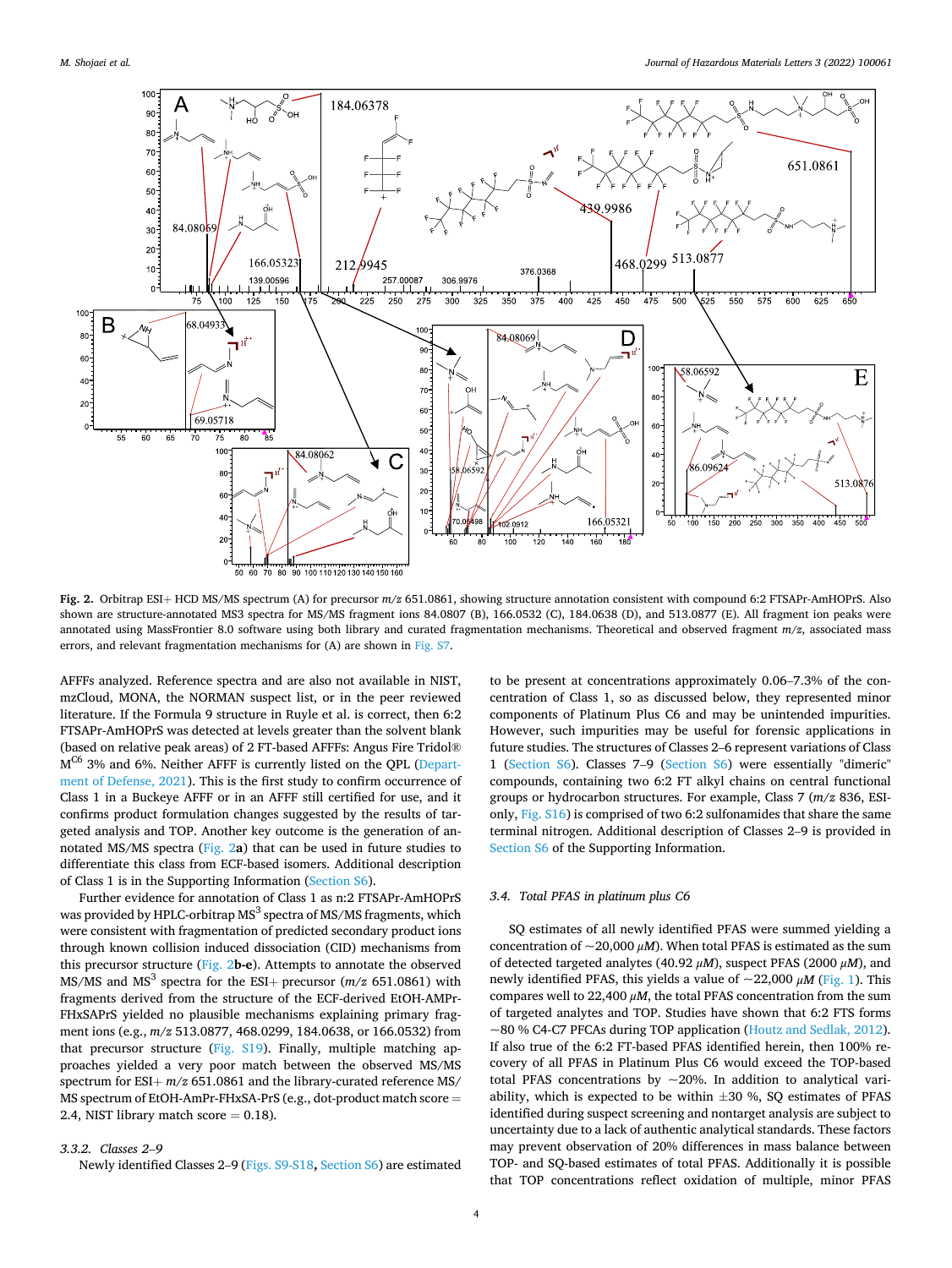<span id="page-4-0"></span>

**Fig. 2.** Orbitrap ESI+ HCD MS/MS spectrum (A) for precursor *m/z* 651.0861, showing structure annotation consistent with compound 6:2 FTSAPr-AmHOPrS. Also shown are structure-annotated MS3 spectra for MS/MS fragment ions 84.0807 (B), 166.0532 (C), 184.0638 (D), and 513.0877 (E). All fragment ion peaks were annotated using MassFrontier 8.0 software using both library and curated fragmentation mechanisms. Theoretical and observed fragment *m/z*, associated mass errors, and relevant fragmentation mechanisms for (A) are shown in Fig. S7.

AFFFs analyzed. Reference spectra and are also not available in NIST, mzCloud, MONA, the NORMAN suspect list, or in the peer reviewed literature. If the Formula 9 structure in Ruyle et al. is correct, then 6:2 FTSAPr-AmHOPrS was detected at levels greater than the solvent blank (based on relative peak areas) of 2 FT-based AFFFs: Angus Fire Tridol® MC6 3% and 6%. Neither AFFF is currently listed on the QPL [\(Depart](#page-5-0)[ment of Defense, 2021](#page-5-0)). This is the first study to confirm occurrence of Class 1 in a Buckeye AFFF or in an AFFF still certified for use, and it confirms product formulation changes suggested by the results of targeted analysis and TOP. Another key outcome is the generation of annotated MS/MS spectra (Fig. 2**a**) that can be used in future studies to differentiate this class from ECF-based isomers. Additional description of Class 1 is in the Supporting Information (Section S6).

Further evidence for annotation of Class 1 as n:2 FTSAPr-AmHOPrS was provided by HPLC-orbitrap MS<sup>3</sup> spectra of MS/MS fragments, which were consistent with fragmentation of predicted secondary product ions through known collision induced dissociation (CID) mechanisms from this precursor structure (Fig. 2**b-e**). Attempts to annotate the observed MS/MS and MS<sup>3</sup> spectra for the ESI+ precursor  $(m/z 651.0861)$  with fragments derived from the structure of the ECF-derived EtOH-AMPr-FHxSAPrS yielded no plausible mechanisms explaining primary fragment ions (e.g., *m/z* 513.0877, 468.0299, 184.0638, or 166.0532) from that precursor structure (Fig. S19). Finally, multiple matching approaches yielded a very poor match between the observed MS/MS spectrum for  $ESI + m/z$  651.0861 and the library-curated reference MS/ MS spectrum of EtOH-AmPr-FHxSA-PrS (e.g., dot-product match score = 2.4, NIST library match score  $= 0.18$ ).

# *3.3.2. Classes 2*–*9*

Newly identified Classes 2–9 (Figs. S9-S18**,** Section S6) are estimated

to be present at concentrations approximately 0.06–7.3% of the concentration of Class 1, so as discussed below, they represented minor components of Platinum Plus C6 and may be unintended impurities. However, such impurities may be useful for forensic applications in future studies. The structures of Classes 2–6 represent variations of Class 1 (Section S6). Classes 7–9 (Section S6) were essentially "dimeric" compounds, containing two 6:2 FT alkyl chains on central functional groups or hydrocarbon structures. For example, Class 7 (*m/z* 836, ESIonly, Fig. S16) is comprised of two 6:2 sulfonamides that share the same terminal nitrogen. Additional description of Classes 2–9 is provided in Section S6 of the Supporting Information.

#### *3.4. Total PFAS in platinum plus C6*

SQ estimates of all newly identified PFAS were summed yielding a concentration of  $\sim$ 20,000  $\mu$ *M*). When total PFAS is estimated as the sum of detected targeted analytes (40.92 *μM*), suspect PFAS (2000 *μM*), and newly identified PFAS, this yields a value of ~22,000 *μM* [\(Fig. 1](#page-3-0)). This compares well to 22,400 *μM*, the total PFAS concentration from the sum of targeted analytes and TOP. Studies have shown that 6:2 FTS forms ~80 % C4-C7 PFCAs during TOP application ([Houtz and Sedlak, 2012](#page-5-0)). If also true of the 6:2 FT-based PFAS identified herein, then 100% recovery of all PFAS in Platinum Plus C6 would exceed the TOP-based total PFAS concentrations by  $\sim$  20%. In addition to analytical variability, which is expected to be within  $\pm 30$  %, SQ estimates of PFAS identified during suspect screening and nontarget analysis are subject to uncertainty due to a lack of authentic analytical standards. These factors may prevent observation of 20% differences in mass balance between TOP- and SQ-based estimates of total PFAS. Additionally it is possible that TOP concentrations reflect oxidation of multiple, minor PFAS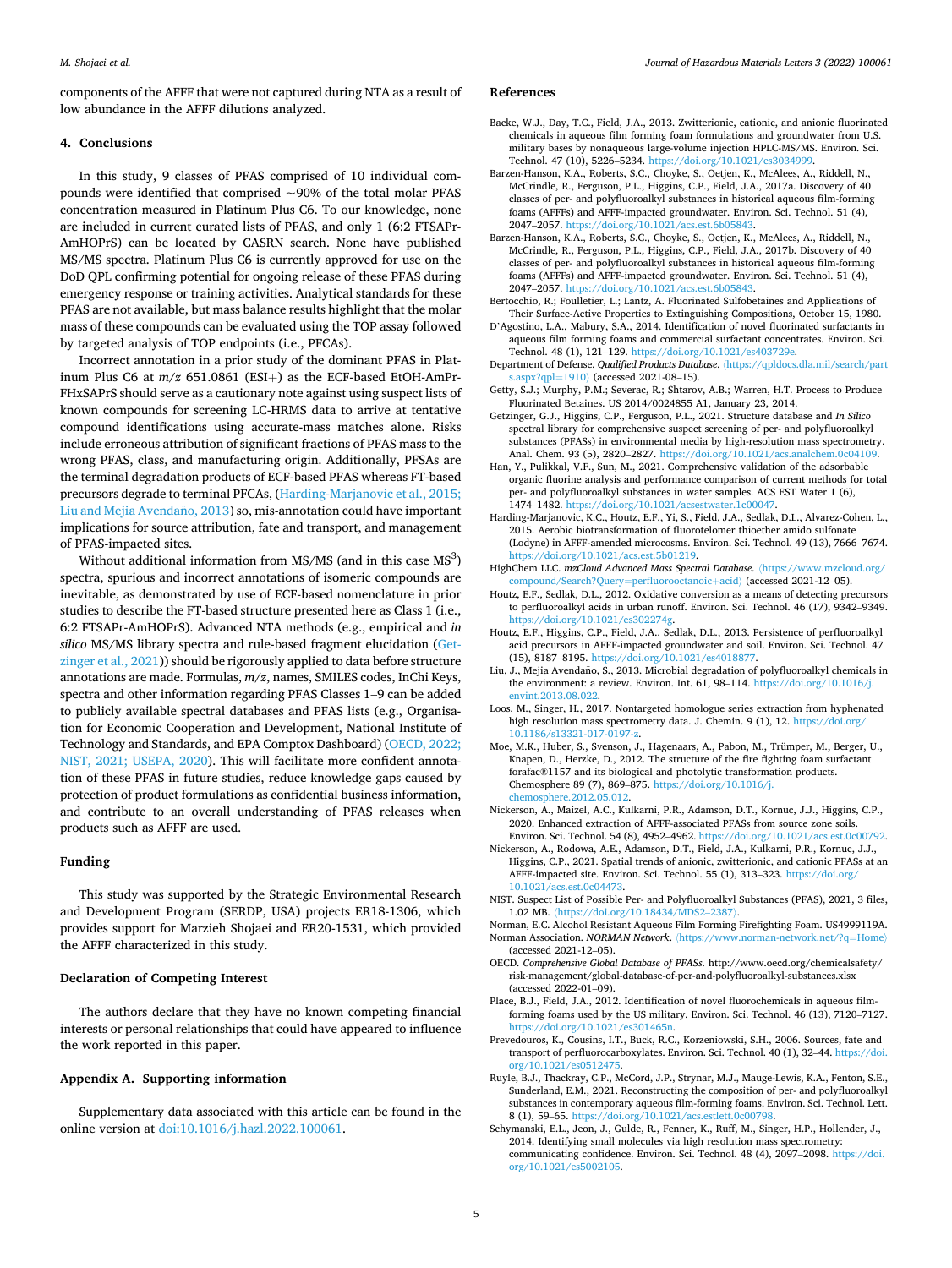<span id="page-5-0"></span>components of the AFFF that were not captured during NTA as a result of low abundance in the AFFF dilutions analyzed.

# **4. Conclusions**

In this study, 9 classes of PFAS comprised of 10 individual compounds were identified that comprised  $\sim$ 90% of the total molar PFAS concentration measured in Platinum Plus C6. To our knowledge, none are included in current curated lists of PFAS, and only 1 (6:2 FTSAPr-AmHOPrS) can be located by CASRN search. None have published MS/MS spectra. Platinum Plus C6 is currently approved for use on the DoD QPL confirming potential for ongoing release of these PFAS during emergency response or training activities. Analytical standards for these PFAS are not available, but mass balance results highlight that the molar mass of these compounds can be evaluated using the TOP assay followed by targeted analysis of TOP endpoints (i.e., PFCAs).

Incorrect annotation in a prior study of the dominant PFAS in Platinum Plus C6 at *m/z* 651.0861 (ESI+) as the ECF-based EtOH-AmPr-FHxSAPrS should serve as a cautionary note against using suspect lists of known compounds for screening LC-HRMS data to arrive at tentative compound identifications using accurate-mass matches alone. Risks include erroneous attribution of significant fractions of PFAS mass to the wrong PFAS, class, and manufacturing origin. Additionally, PFSAs are the terminal degradation products of ECF-based PFAS whereas FT-based precursors degrade to terminal PFCAs, (Harding-Marjanovic et al., 2015; Liu and Mejia Avendaño, 2013) so, mis-annotation could have important implications for source attribution, fate and transport, and management of PFAS-impacted sites.

Without additional information from MS/MS (and in this case  $MS<sup>3</sup>$ ) spectra, spurious and incorrect annotations of isomeric compounds are inevitable, as demonstrated by use of ECF-based nomenclature in prior studies to describe the FT-based structure presented here as Class 1 (i.e., 6:2 FTSAPr-AmHOPrS). Advanced NTA methods (e.g., empirical and *in silico* MS/MS library spectra and rule-based fragment elucidation (Getzinger et al., 2021)) should be rigorously applied to data before structure annotations are made. Formulas, *m/z*, names, SMILES codes, InChi Keys, spectra and other information regarding PFAS Classes 1–9 can be added to publicly available spectral databases and PFAS lists (e.g., Organisation for Economic Cooperation and Development, National Institute of Technology and Standards, and EPA Comptox Dashboard) (OECD, 2022; NIST, 2021; USEPA, 2020). This will facilitate more confident annotation of these PFAS in future studies, reduce knowledge gaps caused by protection of product formulations as confidential business information, and contribute to an overall understanding of PFAS releases when products such as AFFF are used.

# **Funding**

This study was supported by the Strategic Environmental Research and Development Program (SERDP, USA) projects ER18-1306, which provides support for Marzieh Shojaei and ER20-1531, which provided the AFFF characterized in this study.

# **Declaration of Competing Interest**

The authors declare that they have no known competing financial interests or personal relationships that could have appeared to influence the work reported in this paper.

#### **Appendix A. Supporting information**

Supplementary data associated with this article can be found in the online version at [doi:10.1016/j.hazl.2022.100061](https://doi.org/10.1016/j.hazl.2022.100061).

# **References**

- Backe, W.J., Day, T.C., Field, J.A., 2013. Zwitterionic, cationic, and anionic fluorinated chemicals in aqueous film forming foam formulations and groundwater from U.S. military bases by nonaqueous large-volume injection HPLC-MS/MS. Environ. Sci. Technol. 47 (10), 5226–5234. [https://doi.org/10.1021/es3034999.](https://doi.org/10.1021/es3034999)
- Barzen-Hanson, K.A., Roberts, S.C., Choyke, S., Oetjen, K., McAlees, A., Riddell, N., McCrindle, R., Ferguson, P.L., Higgins, C.P., Field, J.A., 2017a. Discovery of 40 classes of per- and polyfluoroalkyl substances in historical aqueous film-forming foams (AFFFs) and AFFF-impacted groundwater. Environ. Sci. Technol. 51 (4), 2047–2057.<https://doi.org/10.1021/acs.est.6b05843>.
- Barzen-Hanson, K.A., Roberts, S.C., Choyke, S., Oetjen, K., McAlees, A., Riddell, N., McCrindle, R., Ferguson, P.L., Higgins, C.P., Field, J.A., 2017b. Discovery of 40 classes of per- and polyfluoroalkyl substances in historical aqueous film-forming foams (AFFFs) and AFFF-impacted groundwater. Environ. Sci. Technol. 51 (4), 2047–2057.<https://doi.org/10.1021/acs.est.6b05843>.
- Bertocchio, R.; Foulletier, L.; Lantz, A. Fluorinated Sulfobetaines and Applications of Their Surface-Active Properties to Extinguishing Compositions, October 15, 1980.
- D'Agostino, L.A., Mabury, S.A., 2014. Identification of novel fluorinated surfactants in aqueous film forming foams and commercial surfactant concentrates. Environ. Sci. Technol. 48 (1), 121–129.<https://doi.org/10.1021/es403729e>.
- Department of Defense. *Qualified Products Database*. 〈[https://qpldocs.dla.mil/search/part](https://qpldocs.dla.mil/search/parts.aspx?qpl=1910)  [s.aspx?qpl](https://qpldocs.dla.mil/search/parts.aspx?qpl=1910)=1910〉 (accessed 2021-08–15).
- Getty, S.J.; Murphy, P.M.; Severac, R.; Shtarov, A.B.; Warren, H.T. Process to Produce Fluorinated Betaines. US 2014/0024855 A1, January 23, 2014.
- Getzinger, G.J., Higgins, C.P., Ferguson, P.L., 2021. Structure database and *In Silico*  spectral library for comprehensive suspect screening of per- and polyfluoroalkyl substances (PFASs) in environmental media by high-resolution mass spectrometry. Anal. Chem. 93 (5), 2820–2827. [https://doi.org/10.1021/acs.analchem.0c04109.](https://doi.org/10.1021/acs.analchem.0c04109)
- Han, Y., Pulikkal, V.F., Sun, M., 2021. Comprehensive validation of the adsorbable organic fluorine analysis and performance comparison of current methods for total per- and polyfluoroalkyl substances in water samples. ACS EST Water 1 (6), 1474–1482.<https://doi.org/10.1021/acsestwater.1c00047>.
- Harding-Marjanovic, K.C., Houtz, E.F., Yi, S., Field, J.A., Sedlak, D.L., Alvarez-Cohen, L., 2015. Aerobic biotransformation of fluorotelomer thioether amido sulfonate (Lodyne) in AFFF-amended microcosms. Environ. Sci. Technol. 49 (13), 7666–7674. [https://doi.org/10.1021/acs.est.5b01219.](https://doi.org/10.1021/acs.est.5b01219)
- HighChem LLC. *mzCloud Advanced Mass Spectral Database*. 〈[https://www.mzcloud.org/](https://www.mzcloud.org/compound/Search?Query=perfluorooctanoic+acid) [compound/Search?Query](https://www.mzcloud.org/compound/Search?Query=perfluorooctanoic+acid)=perfluorooctanoic+acid〉 (accessed 2021-12–05).
- Houtz, E.F., Sedlak, D.L., 2012. Oxidative conversion as a means of detecting precursors to perfluoroalkyl acids in urban runoff. Environ. Sci. Technol. 46 (17), 9342–9349. [https://doi.org/10.1021/es302274g.](https://doi.org/10.1021/es302274g)
- Houtz, E.F., Higgins, C.P., Field, J.A., Sedlak, D.L., 2013. Persistence of perfluoroalkyl acid precursors in AFFF-impacted groundwater and soil. Environ. Sci. Technol. 47 (15), 8187-8195. https://doi.org/10.1021/es401887
- Liu, J., Mejia Avendaño, S., 2013. Microbial degradation of polyfluoroalkyl chemicals in the environment: a review. Environ. Int. 61, 98–114. [https://doi.org/10.1016/j.](https://doi.org/10.1016/j.envint.2013.08.022) [envint.2013.08.022](https://doi.org/10.1016/j.envint.2013.08.022).
- Loos, M., Singer, H., 2017. Nontargeted homologue series extraction from hyphenated high resolution mass spectrometry data. J. Chemin. 9 (1), 12. https://doi.org/ [10.1186/s13321-017-0197-z.](https://doi.org/10.1186/s13321-017-0197-z)
- Moe, M.K., Huber, S., Svenson, J., Hagenaars, A., Pabon, M., Trümper, M., Berger, U., Knapen, D., Herzke, D., 2012. The structure of the fire fighting foam surfactant forafac®1157 and its biological and photolytic transformation products. Chemosphere 89 (7), 869–875. [https://doi.org/10.1016/j.](https://doi.org/10.1016/j.chemosphere.2012.05.012)  [chemosphere.2012.05.012](https://doi.org/10.1016/j.chemosphere.2012.05.012).
- Nickerson, A., Maizel, A.C., Kulkarni, P.R., Adamson, D.T., Kornuc, J.J., Higgins, C.P., 2020. Enhanced extraction of AFFF-associated PFASs from source zone soils. Environ. Sci. Technol. 54 (8), 4952–4962. [https://doi.org/10.1021/acs.est.0c00792.](https://doi.org/10.1021/acs.est.0c00792)
- Nickerson, A., Rodowa, A.E., Adamson, D.T., Field, J.A., Kulkarni, P.R., Kornuc, J.J., Higgins, C.P., 2021. Spatial trends of anionic, zwitterionic, and cationic PFASs at an AFFF-impacted site. Environ. Sci. Technol. 55 (1), 313–323. [https://doi.org/](https://doi.org/10.1021/acs.est.0c04473) [10.1021/acs.est.0c04473.](https://doi.org/10.1021/acs.est.0c04473)
- NIST. Suspect List of Possible Per- and Polyfluoroalkyl Substances (PFAS), 2021, 3 files, 1.02 MB. 〈[https://doi.org/10.18434/MDS2](https://doi.org/10.18434/MDS2-2387)–2387〉.
- Norman, E.C. Alcohol Resistant Aqueous Film Forming Firefighting Foam. US4999119A. Norman Association. *NORMAN Network*. 〈[https://www.norman-network.net/?q](https://www.norman-network.net/?q=Home)=Home〉 (accessed 2021-12–05).
- OECD. *Comprehensive Global Database of PFASs*. http://www.oecd.org/chemicalsafety/ risk-management/global-database-of-per-and-polyfluoroalkyl-substances.xlsx (accessed 2022-01–09).
- Place, B.J., Field, J.A., 2012. Identification of novel fluorochemicals in aqueous filmforming foams used by the US military. Environ. Sci. Technol. 46 (13), 7120–7127. <https://doi.org/10.1021/es301465n>.
- Prevedouros, K., Cousins, I.T., Buck, R.C., Korzeniowski, S.H., 2006. Sources, fate and transport of perfluorocarboxylates. Environ. Sci. Technol. 40 (1), 32–44. [https://doi.](https://doi.org/10.1021/es0512475)  [org/10.1021/es0512475](https://doi.org/10.1021/es0512475).
- Ruyle, B.J., Thackray, C.P., McCord, J.P., Strynar, M.J., Mauge-Lewis, K.A., Fenton, S.E., Sunderland, E.M., 2021. Reconstructing the composition of per- and polyfluoroalkyl substances in contemporary aqueous film-forming foams. Environ. Sci. Technol. Lett. 8 (1), 59–65. [https://doi.org/10.1021/acs.estlett.0c00798.](https://doi.org/10.1021/acs.estlett.0c00798)
- Schymanski, E.L., Jeon, J., Gulde, R., Fenner, K., Ruff, M., Singer, H.P., Hollender, J., 2014. Identifying small molecules via high resolution mass spectrometry: communicating confidence. Environ. Sci. Technol. 48 (4), 2097–2098. [https://doi.](https://doi.org/10.1021/es5002105)  [org/10.1021/es5002105](https://doi.org/10.1021/es5002105).